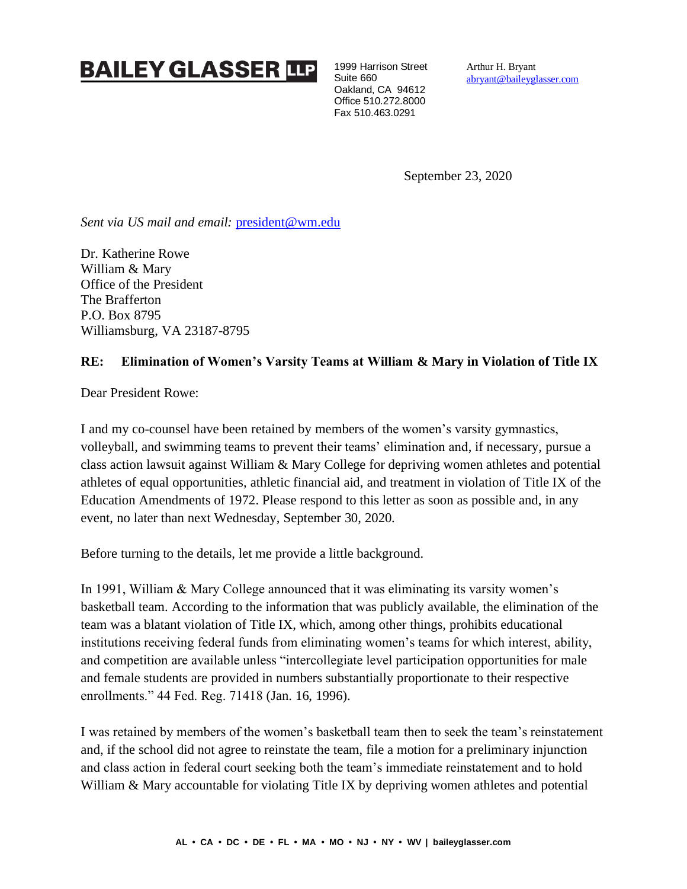## **BAILEY GLASSER TO**

1999 Harrison Street Suite 660 Oakland, CA 94612 Office 510.272.8000 Fax 510.463.0291

Arthur H. Bryant [abryant@baileyglasser.com](mailto:abryant@baileyglasser.com)

September 23, 2020

Sent via US mail and email: [president@wm.edu](mailto:president@wm.edu)

Dr. Katherine Rowe William & Mary Office of the President The Brafferton P.O. Box 8795 Williamsburg, VA 23187-8795

## **RE: Elimination of Women's Varsity Teams at William & Mary in Violation of Title IX**

Dear President Rowe:

I and my co-counsel have been retained by members of the women's varsity gymnastics, volleyball, and swimming teams to prevent their teams' elimination and, if necessary, pursue a class action lawsuit against William & Mary College for depriving women athletes and potential athletes of equal opportunities, athletic financial aid, and treatment in violation of Title IX of the Education Amendments of 1972. Please respond to this letter as soon as possible and, in any event, no later than next Wednesday, September 30, 2020.

Before turning to the details, let me provide a little background.

In 1991, William & Mary College announced that it was eliminating its varsity women's basketball team. According to the information that was publicly available, the elimination of the team was a blatant violation of Title IX, which, among other things, prohibits educational institutions receiving federal funds from eliminating women's teams for which interest, ability, and competition are available unless "intercollegiate level participation opportunities for male and female students are provided in numbers substantially proportionate to their respective enrollments." 44 Fed. Reg. 71418 (Jan. 16, 1996).

I was retained by members of the women's basketball team then to seek the team's reinstatement and, if the school did not agree to reinstate the team, file a motion for a preliminary injunction and class action in federal court seeking both the team's immediate reinstatement and to hold William & Mary accountable for violating Title IX by depriving women athletes and potential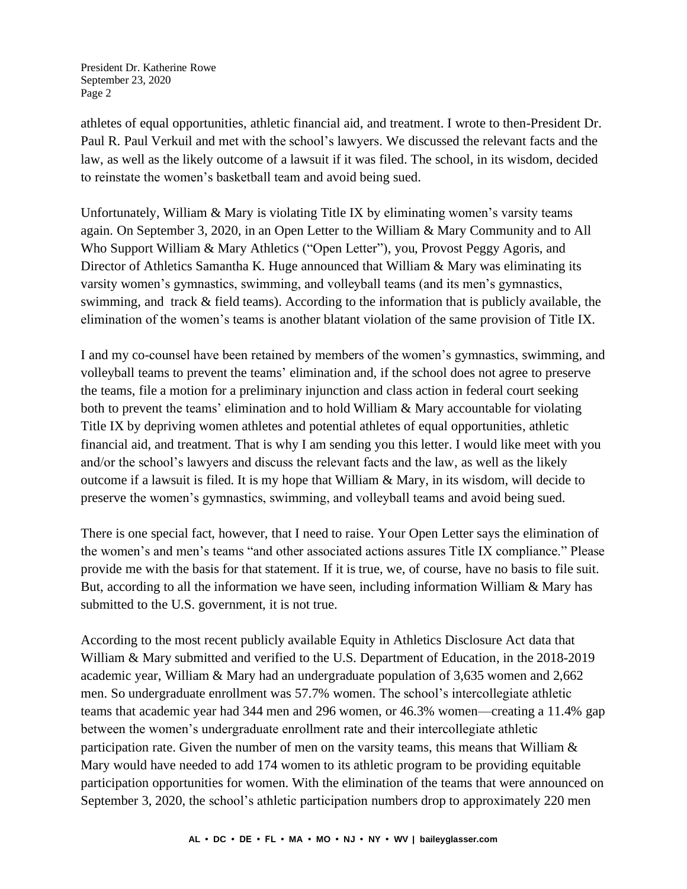President Dr. Katherine Rowe September 23, 2020 Page 2

athletes of equal opportunities, athletic financial aid, and treatment. I wrote to then-President Dr. Paul R. Paul Verkuil and met with the school's lawyers. We discussed the relevant facts and the law, as well as the likely outcome of a lawsuit if it was filed. The school, in its wisdom, decided to reinstate the women's basketball team and avoid being sued.

Unfortunately, William & Mary is violating Title IX by eliminating women's varsity teams again. On September 3, 2020, in an Open Letter to the William & Mary Community and to All Who Support William & Mary Athletics ("Open Letter"), you, Provost Peggy Agoris, and Director of Athletics Samantha K. Huge announced that William & Mary was eliminating its varsity women's gymnastics, swimming, and volleyball teams (and its men's gymnastics, swimming, and track & field teams). According to the information that is publicly available, the elimination of the women's teams is another blatant violation of the same provision of Title IX.

I and my co-counsel have been retained by members of the women's gymnastics, swimming, and volleyball teams to prevent the teams' elimination and, if the school does not agree to preserve the teams, file a motion for a preliminary injunction and class action in federal court seeking both to prevent the teams' elimination and to hold William & Mary accountable for violating Title IX by depriving women athletes and potential athletes of equal opportunities, athletic financial aid, and treatment. That is why I am sending you this letter. I would like meet with you and/or the school's lawyers and discuss the relevant facts and the law, as well as the likely outcome if a lawsuit is filed. It is my hope that William & Mary, in its wisdom, will decide to preserve the women's gymnastics, swimming, and volleyball teams and avoid being sued.

There is one special fact, however, that I need to raise. Your Open Letter says the elimination of the women's and men's teams "and other associated actions assures Title IX compliance." Please provide me with the basis for that statement. If it is true, we, of course, have no basis to file suit. But, according to all the information we have seen, including information William & Mary has submitted to the U.S. government, it is not true.

According to the most recent publicly available Equity in Athletics Disclosure Act data that William & Mary submitted and verified to the U.S. Department of Education, in the 2018-2019 academic year, William & Mary had an undergraduate population of 3,635 women and 2,662 men. So undergraduate enrollment was 57.7% women. The school's intercollegiate athletic teams that academic year had 344 men and 296 women, or 46.3% women—creating a 11.4% gap between the women's undergraduate enrollment rate and their intercollegiate athletic participation rate. Given the number of men on the varsity teams, this means that William & Mary would have needed to add 174 women to its athletic program to be providing equitable participation opportunities for women. With the elimination of the teams that were announced on September 3, 2020, the school's athletic participation numbers drop to approximately 220 men